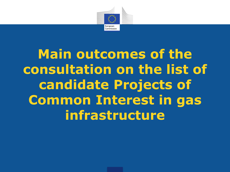

**Main outcomes of the consultation on the list of candidate Projects of Common Interest in gas infrastructure**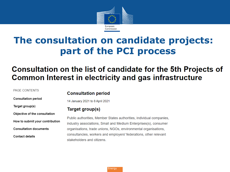

### The consultation on candidate projects: part of the PCI process

### Consultation on the list of candidate for the 5th Projects of **Common Interest in electricity and gas infrastructure**

#### PAGE CONTENTS

**Consultation period** 

Target group(s)

Objective of the consultation

How to submit your contribution

**Consultation documents** 

**Contact details** 

#### **Consultation period**

14 January 2021 to 8 April 2021

#### Target group(s)

Public authorities, Member States authorities, individual companies, industry associations, Small and Medium Enterprises(s), consumer organisations, trade unions, NGOs, environmental organisations, consultancies, workers and employers' federations, other relevant stakeholders and citizens.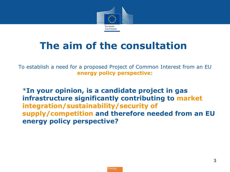

## **The aim of the consultation**

To establish a need for a proposed Project of Common Interest from an EU **energy policy perspective**:

• \***In your opinion, is a candidate project in gas infrastructure significantly contributing to market integration/sustainability/security of supply/competition and therefore needed from an EU energy policy perspective?**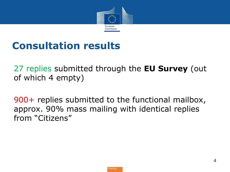

## **Consultation results**

27 replies submitted through the **EU Survey** (out of which 4 empty)

900+ replies submitted to the functional mailbox, approx. 90% mass mailing with identical replies from "Citizens"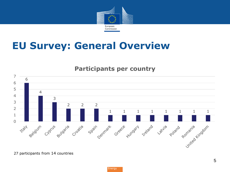

### **EU Survey: General Overview**

### **Participants per country**



participants from 14 countries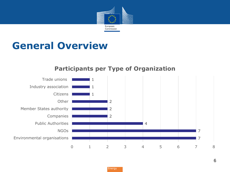

### **General Overview**



### **Participants per Type of Organization**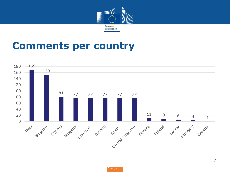

### **Comments per country**

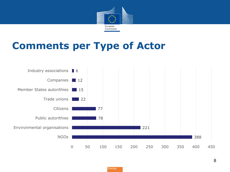

### **Comments per Type of Actor**

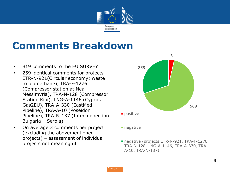

## **Comments Breakdown**

- 819 comments to the EU SURVEY
- 259 identical comments for projects ETR-N-921(Circular economy: waste to biomethane), TRA-F-1276 (Compressor station at Nea Messimvria), TRA-N-128 (Compressor Station Kipi), LNG-A-1146 (Cyprus Gas2EU), TRA-A-330 (EastMed Pipeline), TRA-A-10 (Poseidon Pipeline), TRA-N-137 (Interconnection Bulgaria – Serbia).
- On average 3 comments per project (excluding the abovementioned projects) – assessment of individual projects not meaningful



**negative** 

negative (projects ETR-N-921, TRA-F-1276, TRA-N-128, LNG-A-1146, TRA-A-330, TRA-A-10, TRA-N-137)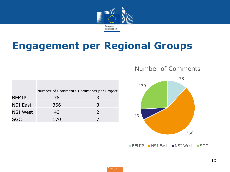

### **Engagement per Regional Groups**

|                 |     | Number of Comments Comments per Project |
|-----------------|-----|-----------------------------------------|
| <b>BEMIP</b>    | 78  | 3                                       |
| <b>NSI East</b> | 366 | 3                                       |
| NSI West        | 43  | $\mathcal{L}$                           |
| SGC             | 170 |                                         |

#### Number of Comments



BEMIP NSI East NSI West SGC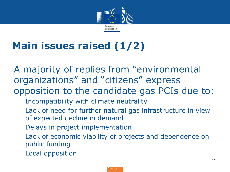

# **Main issues raised (1/2)**

A majority of replies from "environmental organizations" and "citizens" express opposition to the candidate gas PCIs due to:

- Incompatibility with climate neutrality
- Lack of need for further natural gas infrastructure in view of expected decline in demand
- Delays in project implementation
- Lack of economic viability of projects and dependence on public funding
- Local opposition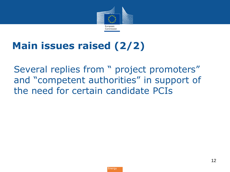

## **Main issues raised (2/2)**

Several replies from " project promoters" and "competent authorities" in support of the need for certain candidate PCIs